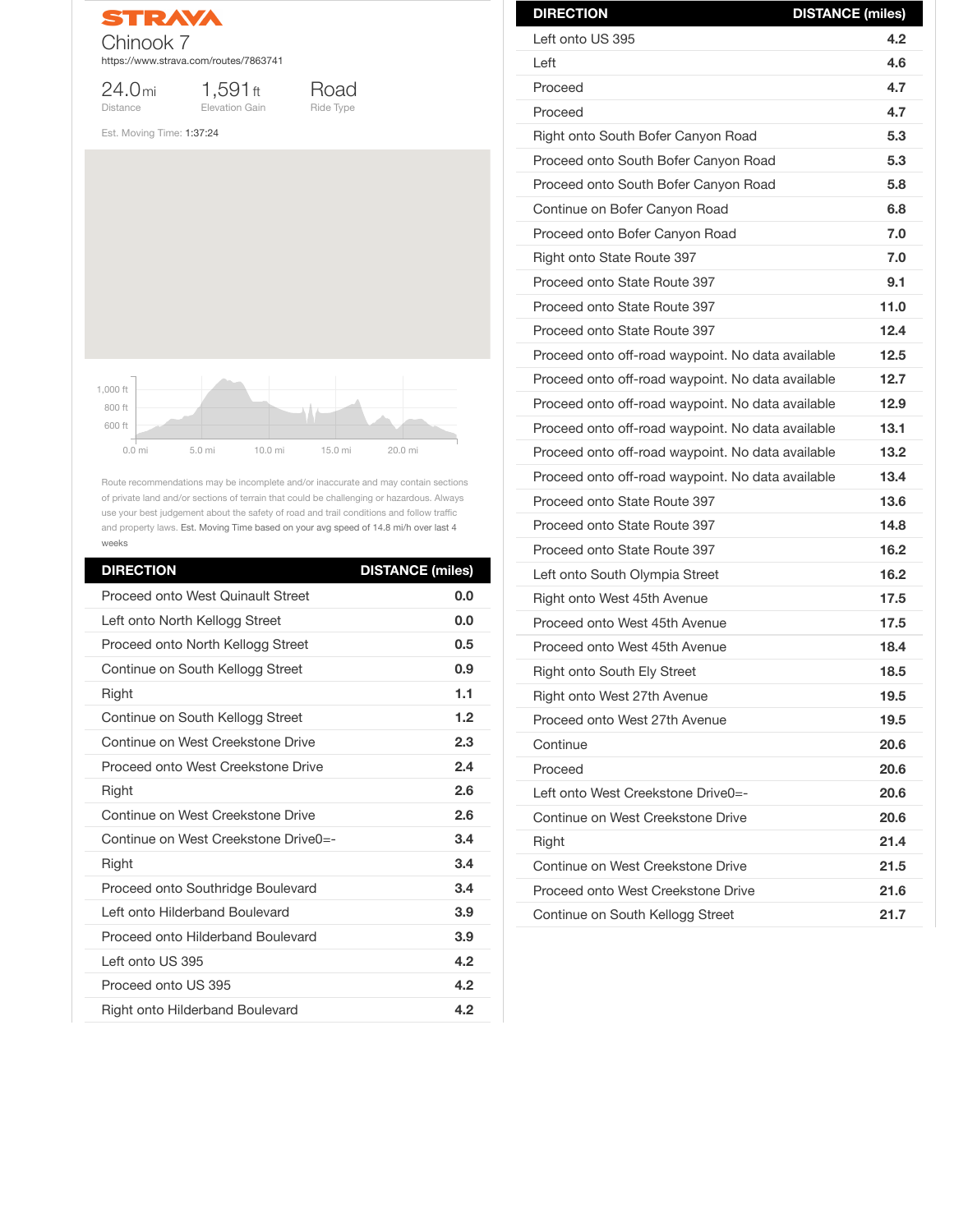

1,591ft Elevation Gain

24.0mi Distance



Est. Moving Time: 1:37:24

Route recommendations may be incomplete and/or inaccurate and may contain sections of private land and/or sections of terrain that could be challenging or hazardous. Always use your best judgement about the safety of road and trail conditions and follow traffic and property laws. Est. Moving Time based on your avg speed of 14.8 mi/h over last 4 weeks

| <b>DIRECTION</b>                          | <b>DISTANCE (miles)</b> |
|-------------------------------------------|-------------------------|
| <b>Proceed onto West Quinault Street</b>  | 0.0                     |
| Left onto North Kellogg Street            | 0.0                     |
| Proceed onto North Kellogg Street         | 0.5                     |
| Continue on South Kellogg Street          | 0.9                     |
| <b>Right</b>                              | 1.1                     |
| Continue on South Kellogg Street          | 1.2                     |
| Continue on West Creekstone Drive         | 2.3                     |
| <b>Proceed onto West Creekstone Drive</b> | 2.4                     |
| <b>Right</b>                              | 2.6                     |
| Continue on West Creekstone Drive         | 2.6                     |
| Continue on West Creekstone Drive0=-      | 3.4                     |
| <b>Right</b>                              | 3.4                     |
| Proceed onto Southridge Boulevard         | 3.4                     |
| Left onto Hilderband Boulevard            | 3.9                     |
| <b>Proceed onto Hilderband Boulevard</b>  | 3.9                     |
| Left onto US 395                          | 4.2                     |
| Proceed onto US 395                       | 4.2                     |
| <b>Right onto Hilderband Boulevard</b>    | 4.2                     |



| <b>DIRECTION</b>                                  | <b>DISTANCE (miles)</b> |
|---------------------------------------------------|-------------------------|
| Left onto US 395                                  | 4.2                     |
| Left                                              | 4.6                     |
| Proceed                                           | 4.7                     |
| Proceed                                           | 4.7                     |
| Right onto South Bofer Canyon Road                | 5.3                     |
| Proceed onto South Bofer Canyon Road              | 5.3                     |
| Proceed onto South Bofer Canyon Road              | 5.8                     |
| Continue on Bofer Canyon Road                     | 6.8                     |
| Proceed onto Bofer Canyon Road                    | 7.0                     |
| <b>Right onto State Route 397</b>                 | 7.0                     |
| Proceed onto State Route 397                      | 9.1                     |
| Proceed onto State Route 397                      | 11.0                    |
| Proceed onto State Route 397                      | 12.4                    |
| Proceed onto off-road waypoint. No data available | 12.5                    |
| Proceed onto off-road waypoint. No data available | 12.7                    |
| Proceed onto off-road waypoint. No data available | 12.9                    |
| Proceed onto off-road waypoint. No data available | 13.1                    |
| Proceed onto off-road waypoint. No data available | 13.2                    |
| Proceed onto off-road waypoint. No data available | 13.4                    |
| Proceed onto State Route 397                      | 13.6                    |
| Proceed onto State Route 397                      | 14.8                    |
| Proceed onto State Route 397                      | 16.2                    |
| Left onto South Olympia Street                    | 16.2                    |
| Right onto West 45th Avenue                       | 17.5                    |
| Proceed onto West 45th Avenue                     | 17.5                    |
| Proceed onto West 45th Avenue                     | 18.4                    |
| <b>Right onto South Ely Street</b>                | 18.5                    |
| <b>Right onto West 27th Avenue</b>                | 19.5                    |
| Proceed onto West 27th Avenue                     | 19.5                    |
| Continue                                          | 20.6                    |

| Proceed                            | 20.6 |
|------------------------------------|------|
| Left onto West Creekstone Drive0=- | 20.6 |
| Continue on West Creekstone Drive  | 20.6 |
| <b>Right</b>                       | 21.4 |
| Continue on West Creekstone Drive  | 21.5 |
| Proceed onto West Creekstone Drive | 21.6 |
| Continue on South Kellogg Street   | 21.7 |